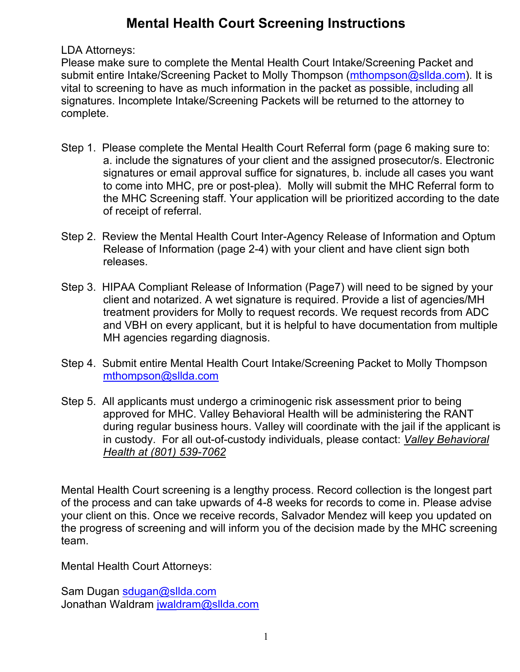# **Mental Health Court Screening Instructions**

LDA Attorneys:

Please make sure to complete the Mental Health Court Intake/Screening Packet and submit entire Intake/Screening Packet to Molly Thompson (mthompson@sllda.com). It is vital to screening to have as much information in the packet as possible, including all signatures. Incomplete Intake/Screening Packets will be returned to the attorney to complete.

- Step 1. Please complete the Mental Health Court Referral form (page 6 making sure to: a. include the signatures of your client and the assigned prosecutor/s. Electronic signatures or email approval suffice for signatures, b. include all cases you want to come into MHC, pre or post-plea). Molly will submit the MHC Referral form to the MHC Screening staff. Your application will be prioritized according to the date of receipt of referral.
- Step 2. Review the Mental Health Court Inter-Agency Release of Information and Optum Release of Information (page 2-4) with your client and have client sign both releases.
- Step 3. HIPAA Compliant Release of Information (Page7) will need to be signed by your client and notarized. A wet signature is required. Provide a list of agencies/MH treatment providers for Molly to request records. We request records from ADC and VBH on every applicant, but it is helpful to have documentation from multiple MH agencies regarding diagnosis.
- Step 4. Submit entire Mental Health Court Intake/Screening Packet to Molly Thompson mthompson@sllda.com
- Step 5. All applicants must undergo a criminogenic risk assessment prior to being approved for MHC. Valley Behavioral Health will be administering the RANT during regular business hours. Valley will coordinate with the jail if the applicant is in custody. For all out-of-custody individuals, please contact: *Valley Behavioral Health at (801) 539-7062*

Mental Health Court screening is a lengthy process. Record collection is the longest part of the process and can take upwards of 4-8 weeks for records to come in. Please advise your client on this. Once we receive records, Salvador Mendez will keep you updated on the progress of screening and will inform you of the decision made by the MHC screening team.

Mental Health Court Attorneys:

Sam Dugan sdugan@sllda.com Jonathan Waldram jwaldram@sllda.com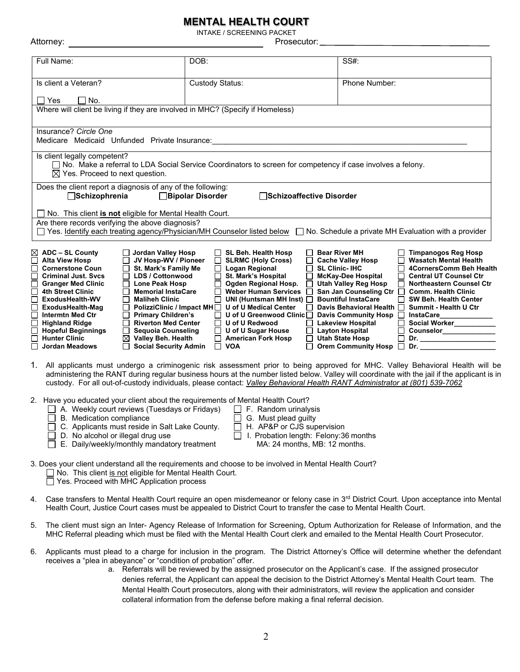#### **MENTAL HEALTH COURT**

INTAKE / SCREENING PACKET

| Attorney:                                                                                                                                                                                                                                                                                                                                                                               |                                                                                                                                                                                                                                                                                                                                             |                                                                                                                                                                                                                                                                                    | Prosecutor:                                                                                                                                                                                                                                                                                                                                                                                                                                    |                                                                                                                                                                                                                                                                                                    |
|-----------------------------------------------------------------------------------------------------------------------------------------------------------------------------------------------------------------------------------------------------------------------------------------------------------------------------------------------------------------------------------------|---------------------------------------------------------------------------------------------------------------------------------------------------------------------------------------------------------------------------------------------------------------------------------------------------------------------------------------------|------------------------------------------------------------------------------------------------------------------------------------------------------------------------------------------------------------------------------------------------------------------------------------|------------------------------------------------------------------------------------------------------------------------------------------------------------------------------------------------------------------------------------------------------------------------------------------------------------------------------------------------------------------------------------------------------------------------------------------------|----------------------------------------------------------------------------------------------------------------------------------------------------------------------------------------------------------------------------------------------------------------------------------------------------|
| Full Name:                                                                                                                                                                                                                                                                                                                                                                              |                                                                                                                                                                                                                                                                                                                                             | DOB:                                                                                                                                                                                                                                                                               | SS#:                                                                                                                                                                                                                                                                                                                                                                                                                                           |                                                                                                                                                                                                                                                                                                    |
| Is client a Veteran?                                                                                                                                                                                                                                                                                                                                                                    |                                                                                                                                                                                                                                                                                                                                             | Custody Status:                                                                                                                                                                                                                                                                    | Phone Number:                                                                                                                                                                                                                                                                                                                                                                                                                                  |                                                                                                                                                                                                                                                                                                    |
| $\Box$ Yes<br>$\Box$ No.                                                                                                                                                                                                                                                                                                                                                                |                                                                                                                                                                                                                                                                                                                                             | Where will client be living if they are involved in MHC? (Specify if Homeless)                                                                                                                                                                                                     |                                                                                                                                                                                                                                                                                                                                                                                                                                                |                                                                                                                                                                                                                                                                                                    |
| Insurance? Circle One<br>Medicare Medicaid Unfunded Private Insurance:                                                                                                                                                                                                                                                                                                                  |                                                                                                                                                                                                                                                                                                                                             |                                                                                                                                                                                                                                                                                    |                                                                                                                                                                                                                                                                                                                                                                                                                                                |                                                                                                                                                                                                                                                                                                    |
| Is client legally competent?<br>$\boxtimes$ Yes. Proceed to next question.                                                                                                                                                                                                                                                                                                              |                                                                                                                                                                                                                                                                                                                                             | □ No. Make a referral to LDA Social Service Coordinators to screen for competency if case involves a felony.                                                                                                                                                                       |                                                                                                                                                                                                                                                                                                                                                                                                                                                |                                                                                                                                                                                                                                                                                                    |
| Does the client report a diagnosis of any of the following:<br>Schizophrenia                                                                                                                                                                                                                                                                                                            |                                                                                                                                                                                                                                                                                                                                             | <b>Bipolar Disorder</b>                                                                                                                                                                                                                                                            | □Schizoaffective Disorder                                                                                                                                                                                                                                                                                                                                                                                                                      |                                                                                                                                                                                                                                                                                                    |
| $\Box$ No. This client is not eligible for Mental Health Court.<br>Are there records verifying the above diagnosis?                                                                                                                                                                                                                                                                     |                                                                                                                                                                                                                                                                                                                                             | □ Yes. Identify each treating agency/Physician/MH Counselor listed below □ No. Schedule a private MH Evaluation with a provider                                                                                                                                                    |                                                                                                                                                                                                                                                                                                                                                                                                                                                |                                                                                                                                                                                                                                                                                                    |
| $\boxtimes$ ADC – SL County<br><b>Alta View Hosp</b><br><b>Cornerstone Coun</b><br><b>Criminal Just. Svcs</b><br>$\Box$<br><b>Granger Med Clinic</b><br><b>4th Street Clinic</b><br>$\Box$<br>ExodusHealth-WV<br>ExodusHealth-Mag<br>$\Box$<br><b>Intermtn Med Ctr</b><br><b>Highland Ridge</b><br><b>Hopeful Beginnings</b><br>┓<br>┑<br><b>Hunter Clinic</b><br><b>Jordan Meadows</b> | □ Jordan Valley Hosp<br>JV Hosp-WV / Pioneer<br>$\Box$ St. Mark's Family Me<br>□ LDS / Cottonwood<br>$\Box$ Lone Peak Hosp<br><b>Memorial InstaCare</b><br>П<br>$\Box$ Maliheh Clinic<br>$\Box$ Primary Children's<br>Riverton Med Center<br>Sequoia Counseling<br>$\boxtimes$ Valley Beh. Health<br>$\Box$<br><b>Social Security Admin</b> | SL Beh. Health Hosp<br><b>SLRMC (Holy Cross)</b><br>□ Logan Regional<br>St. Mark's Hospital<br>□ Ogden Regional Hosp.<br>П<br>$\Box$ PolizziClinic / Impact MH $\Box$ U of U Medical Center<br>$\Box$ U of U Redwood<br>□ U of U Sugar House<br>□ American Fork Hosp<br>$\Box$ VOA | <b>Bear River MH</b><br>$\Box$ Cache Valley Hosp<br>$\Box$ SL Clinic- IHC<br>McKay-Dee Hospital<br>$\Box$ Utah Valley Reg Hosp<br>Weber Human Services □ San Jan Counseling Ctr □ Comm. Health Clinic<br>□ UNI (Huntsman MH Inst) □ Bountiful InstaCare<br>$\Box$ U of U Greenwood Clinic $\Box$ Davis Community Hosp $\Box$ InstaCare<br>Lakeview Hospital<br>$\Box$ Layton Hospital<br>$\Box$ Utah State Hosp<br>□ Orem Community Hosp □ Dr. | □ Timpanogos Reg Hosp<br><b>Wasatch Mental Health</b><br>4CornersComm Beh Health<br>Central UT Counsel Ctr<br>□ Northeastern Counsel Ctr<br>SW Beh. Health Center<br>□ Davis Behavioral Health □ Summit - Health U Ctr<br>Social Worker<br>□ Counselor____________<br>D Dr. ______________________ |
| 1.                                                                                                                                                                                                                                                                                                                                                                                      |                                                                                                                                                                                                                                                                                                                                             | custody. For all out-of-custody individuals, please contact: Valley Behavioral Health RANT Administrator at (801) 539-7062                                                                                                                                                         |                                                                                                                                                                                                                                                                                                                                                                                                                                                | All applicants must undergo a criminogenic risk assessment prior to being approved for MHC. Valley Behavioral Health will be<br>administering the RANT during regular business hours at the number listed below. Valley will coordinate with the jail if the applicant is in                       |
| B. Medication compliance                                                                                                                                                                                                                                                                                                                                                                | A. Weekly court reviews (Tuesdays or Fridays)<br>C. Applicants must reside in Salt Lake County.<br>D. No alcohol or illegal drug use<br>E. Daily/weekly/monthly mandatory treatment                                                                                                                                                         | 2. Have you educated your client about the requirements of Mental Health Court?<br>$\Box$ F. Random urinalysis<br>G. Must plead guilty<br>$\Box$<br>$\Box$ H. AP&P or CJS supervision                                                                                              | I. Probation length: Felony:36 months<br>MA: 24 months, MB: 12 months.                                                                                                                                                                                                                                                                                                                                                                         |                                                                                                                                                                                                                                                                                                    |
|                                                                                                                                                                                                                                                                                                                                                                                         |                                                                                                                                                                                                                                                                                                                                             | 3. Does your client understand all the requirements and choose to be involved in Mental Health Court?                                                                                                                                                                              |                                                                                                                                                                                                                                                                                                                                                                                                                                                |                                                                                                                                                                                                                                                                                                    |

4. Case transfers to Mental Health Court require an open misdemeanor or felony case in 3rd District Court. Upon acceptance into Mental Health Court, Justice Court cases must be appealed to District Court to transfer the case to Mental Health Court.

□ No. This client is not eligible for Mental Health Court.

□ Yes. Proceed with MHC Application process

- 5. The client must sign an Inter- Agency Release of Information for Screening, Optum Authorization for Release of Information, and the MHC Referral pleading which must be filed with the Mental Health Court clerk and emailed to the Mental Health Court Prosecutor.
- 6. Applicants must plead to a charge for inclusion in the program. The District Attorney's Office will determine whether the defendant receives a "plea in abeyance" or "condition of probation" offer.
	- a. Referrals will be reviewed by the assigned prosecutor on the Applicant's case. If the assigned prosecutor denies referral, the Applicant can appeal the decision to the District Attorney's Mental Health Court team. The Mental Health Court prosecutors, along with their administrators, will review the application and consider collateral information from the defense before making a final referral decision.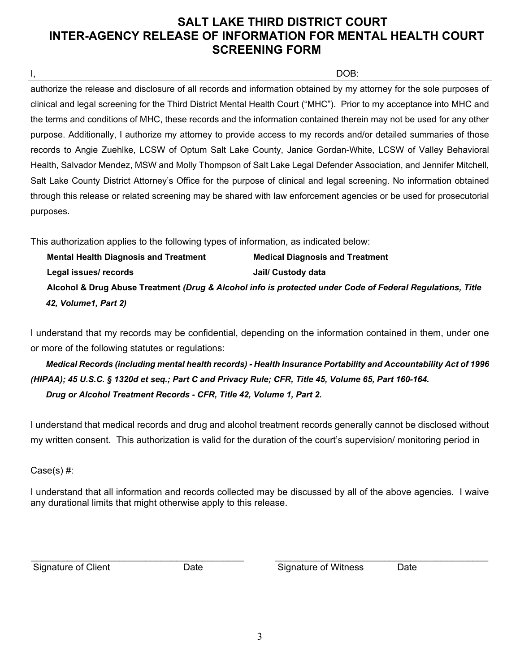# **SALT LAKE THIRD DISTRICT COURT INTER-AGENCY RELEASE OF INFORMATION FOR MENTAL HEALTH COURT SCREENING FORM**

I, DOB:

authorize the release and disclosure of all records and information obtained by my attorney for the sole purposes of clinical and legal screening for the Third District Mental Health Court ("MHC"). Prior to my acceptance into MHC and the terms and conditions of MHC, these records and the information contained therein may not be used for any other purpose. Additionally, I authorize my attorney to provide access to my records and/or detailed summaries of those records to Angie Zuehlke, LCSW of Optum Salt Lake County, Janice Gordan-White, LCSW of Valley Behavioral Health, Salvador Mendez, MSW and Molly Thompson of Salt Lake Legal Defender Association, and Jennifer Mitchell, Salt Lake County District Attorney's Office for the purpose of clinical and legal screening. No information obtained through this release or related screening may be shared with law enforcement agencies or be used for prosecutorial purposes.

This authorization applies to the following types of information, as indicated below:

| <b>Mental Health Diagnosis and Treatment</b> | <b>Medical Diagnosis and Treatment</b>                                                                    |
|----------------------------------------------|-----------------------------------------------------------------------------------------------------------|
| Legal issues/ records                        | Jail/ Custody data                                                                                        |
|                                              | Alcohol & Drug Abuse Treatment (Drug & Alcohol info is protected under Code of Federal Regulations, Title |
| 42, Volume1, Part 2)                         |                                                                                                           |

I understand that my records may be confidential, depending on the information contained in them, under one or more of the following statutes or regulations:

 *Medical Records (including mental health records) - Health Insurance Portability and Accountability Act of 1996 (HIPAA); 45 U.S.C. § 1320d et seq.; Part C and Privacy Rule; CFR, Title 45, Volume 65, Part 160-164. Drug or Alcohol Treatment Records - CFR, Title 42, Volume 1, Part 2.* 

I understand that medical records and drug and alcohol treatment records generally cannot be disclosed without my written consent. This authorization is valid for the duration of the court's supervision/ monitoring period in

Case(s) #:

I understand that all information and records collected may be discussed by all of the above agencies. I waive any durational limits that might otherwise apply to this release.

\_\_\_\_\_\_\_\_\_\_\_\_\_\_\_\_\_\_\_\_\_\_\_\_\_\_\_\_\_\_\_\_\_\_\_\_\_\_\_\_\_ \_\_\_\_\_\_\_\_\_\_\_\_\_\_\_\_\_\_\_\_\_\_\_\_\_\_\_\_\_\_\_\_\_\_\_\_\_\_\_\_\_

Signature of Client **Date** Date Signature of Witness Date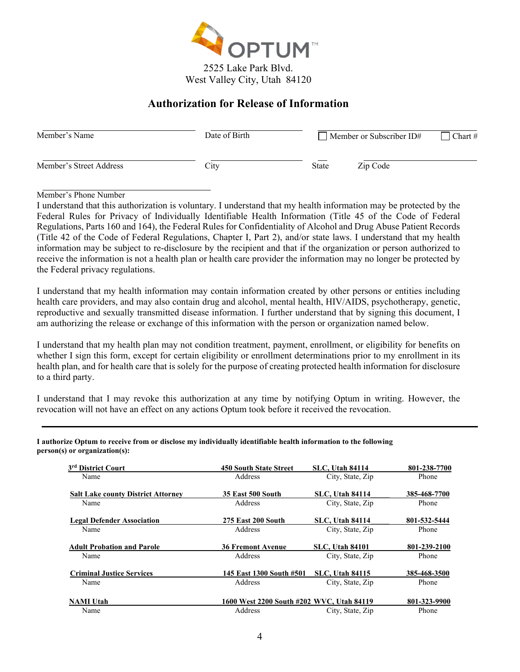

## **Authorization for Release of Information**

| Member's Name           | Date of Birth | Member or Subscriber ID# | Chart $#$ |
|-------------------------|---------------|--------------------------|-----------|
| Member's Street Address | City          | <b>State</b><br>Zip Code |           |

Member's Phone Number

I understand that this authorization is voluntary. I understand that my health information may be protected by the Federal Rules for Privacy of Individually Identifiable Health Information (Title 45 of the Code of Federal Regulations, Parts 160 and 164), the Federal Rules for Confidentiality of Alcohol and Drug Abuse Patient Records (Title 42 of the Code of Federal Regulations, Chapter I, Part 2), and/or state laws. I understand that my health information may be subject to re-disclosure by the recipient and that if the organization or person authorized to receive the information is not a health plan or health care provider the information may no longer be protected by the Federal privacy regulations.

I understand that my health information may contain information created by other persons or entities including health care providers, and may also contain drug and alcohol, mental health, HIV/AIDS, psychotherapy, genetic, reproductive and sexually transmitted disease information. I further understand that by signing this document, I am authorizing the release or exchange of this information with the person or organization named below.

I understand that my health plan may not condition treatment, payment, enrollment, or eligibility for benefits on whether I sign this form, except for certain eligibility or enrollment determinations prior to my enrollment in its health plan, and for health care that is solely for the purpose of creating protected health information for disclosure to a third party.

I understand that I may revoke this authorization at any time by notifying Optum in writing. However, the revocation will not have an effect on any actions Optum took before it received the revocation.

| 3 <sup>rd</sup> District Court            | 450 South State Street                    | <b>SLC, Utah 84114</b> | 801-238-7700 |
|-------------------------------------------|-------------------------------------------|------------------------|--------------|
| Name                                      | Address                                   | City, State, Zip       | Phone        |
| <b>Salt Lake county District Attorney</b> | <b>35 East 500 South</b>                  | <b>SLC, Utah 84114</b> | 385-468-7700 |
| Name                                      | Address                                   | City, State, Zip       | Phone        |
| <b>Legal Defender Association</b>         | <b>275 East 200 South</b>                 | <b>SLC.</b> Utah 84114 | 801-532-5444 |
| Name                                      | Address                                   | City, State, Zip       | Phone        |
| <b>Adult Probation and Parole</b>         | <b>36 Fremont Avenue</b>                  | <b>SLC.</b> Utah 84101 | 801-239-2100 |
| Name                                      | Address                                   | City, State, Zip       | Phone        |
| <b>Criminal Justice Services</b>          | 145 East 1300 South #501                  | <b>SLC.</b> Utah 84115 | 385-468-3500 |
| Name                                      | Address                                   | City, State, Zip       | Phone        |
| <b>NAMI</b> Utah                          | 1600 West 2200 South #202 WVC, Utah 84119 |                        | 801-323-9900 |
| Name                                      | Address                                   | City, State, Zip       | Phone        |

**I authorize Optum to receive from or disclose my individually identifiable health information to the following person(s) or organization(s):**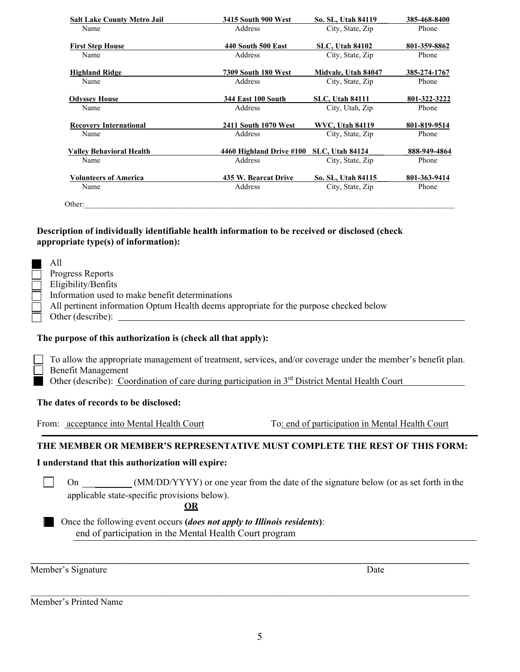| <b>Salt Lake County Metro Jail</b> | 3415 South 900 West        | So. SL, Utah 84119     | 385-468-8400 |
|------------------------------------|----------------------------|------------------------|--------------|
| Name                               | Address                    | City, State, Zip       | Phone        |
| <b>First Step House</b>            | <b>440 South 500 East</b>  | <b>SLC, Utah 84102</b> | 801-359-8862 |
| Name                               | Address                    | City, State, Zip       | Phone        |
| <b>Highland Ridge</b>              | <b>7309 South 180 West</b> | Midvale, Utah 84047    | 385-274-1767 |
| Name                               | Address                    | City, State, Zip       | Phone        |
| <b>Odyssey House</b>               | <b>344 East 100 South</b>  | <b>SLC.</b> Utah 84111 | 801-322-3222 |
| Name                               | Address                    | City, Utah, Zip        | Phone        |
| <b>Recovery International</b>      | 2411 South 1070 West       | <b>WVC. Utah 84119</b> | 801-819-9514 |
| Name                               | Address                    | City, State, Zip       | Phone        |
| <b>Valley Behavioral Health</b>    | 4460 Highland Drive #100   | <b>SLC, Utah 84124</b> | 888-949-4864 |
| Name                               | Address                    | City, State, Zip       | Phone        |
| <b>Volunteers of America</b>       | 435 W. Bearcat Drive       | So. SL, Utah 84115     | 801-363-9414 |
|                                    |                            |                        | Phone        |

#### **Description of individually identifiable health information to be received or disclosed (check appropriate type(s) of information):**

| All                                                                                    |
|----------------------------------------------------------------------------------------|
| <b>Progress Reports</b>                                                                |
| Eligibility/Benfits                                                                    |
| Information used to make benefit determinations                                        |
| All pertinent information Optum Health deems appropriate for the purpose checked below |
| Other (describe):                                                                      |

#### **The purpose of this authorization is (check all that apply):**

To allow the appropriate management of treatment, services, and/or coverage under the member's benefit plan. Benefit Management

Other (describe): Coordination of care during participation in 3<sup>rd</sup> District Mental Health Court

#### **The dates of records to be disclosed:**

From: acceptance into Mental Health Court To: end of participation in Mental Health Court

#### **THE MEMBER OR MEMBER'S REPRESENTATIVE MUST COMPLETE THE REST OF THIS FORM:**

#### **I understand that this authorization will expire:**

On (MM/DD/YYYY) or one year from the date of the signature below (or as set forth in the applicable state-specific provisions below).

**\_\_\_\_\_\_\_\_\_\_\_\_\_\_\_\_\_\_\_\_\_\_\_\_\_\_\_\_\_\_\_\_\_\_\_\_\_\_\_\_\_\_\_\_\_\_\_\_\_\_\_\_\_\_\_\_\_\_\_\_\_\_\_\_\_\_\_\_\_\_\_\_\_\_\_\_\_\_\_\_\_\_\_\_\_\_\_\_\_\_\_\_\_\_** 

 $\mathcal{L}_\mathcal{L} = \{ \mathcal{L}_\mathcal{L} = \{ \mathcal{L}_\mathcal{L} = \{ \mathcal{L}_\mathcal{L} = \{ \mathcal{L}_\mathcal{L} = \{ \mathcal{L}_\mathcal{L} = \{ \mathcal{L}_\mathcal{L} = \{ \mathcal{L}_\mathcal{L} = \{ \mathcal{L}_\mathcal{L} = \{ \mathcal{L}_\mathcal{L} = \{ \mathcal{L}_\mathcal{L} = \{ \mathcal{L}_\mathcal{L} = \{ \mathcal{L}_\mathcal{L} = \{ \mathcal{L}_\mathcal{L} = \{ \mathcal{L}_\mathcal{$ 

**OR** 

Once the following event occurs **(***does not apply to Illinois residents***)**: end of participation in the Mental Health Court program

Member's Signature Date

 $\vert \ \ \vert$ 

Member's Printed Name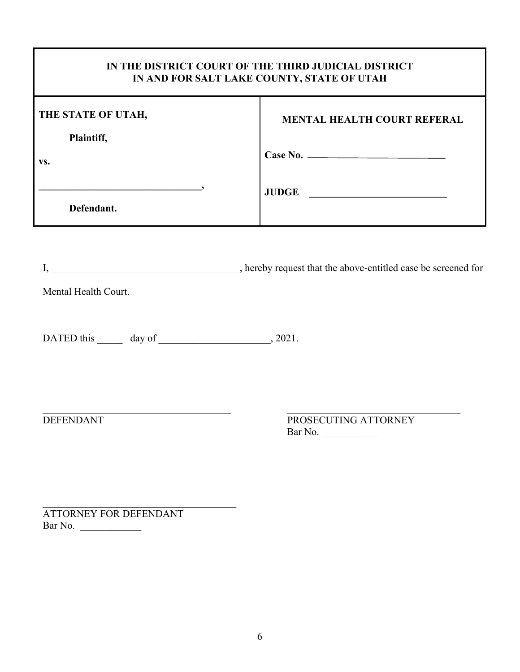| IN THE DISTRICT COURT OF THE THIRD JUDICIAL DISTRICT<br>IN AND FOR SALT LAKE COUNTY, STATE OF UTAH |                                    |  |
|----------------------------------------------------------------------------------------------------|------------------------------------|--|
| THE STATE OF UTAH,<br>Plaintiff,                                                                   | <b>MENTAL HEALTH COURT REFERAL</b> |  |
| VS.                                                                                                | Case No.                           |  |
| Defendant.                                                                                         | <b>JUDGE</b>                       |  |

Mental Health Court.

DATED this  $\_\_\_\_\_\$  day of  $\_\_\_\_\_\_\_\_\_\$ , 2021.

DEFENDANT PROSECUTING ATTORNEY Bar No. \_\_\_\_\_\_\_\_\_\_\_

ATTORNEY FOR DEFENDANT Bar No. \_\_\_\_\_\_\_\_\_\_\_\_

 $\mathcal{L}_\text{max}$  and  $\mathcal{L}_\text{max}$  and  $\mathcal{L}_\text{max}$  and  $\mathcal{L}_\text{max}$